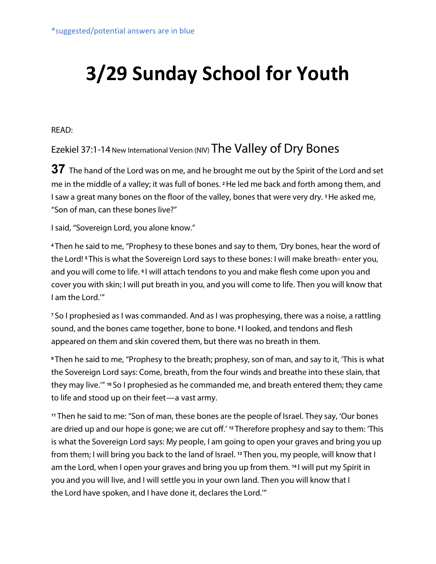# **3/29 Sunday School for Youth**

READ:

## Ezekiel 37:1-14 New International Version (NIV) The Valley of Dry Bones

**37** The hand of the Lord was on me, and he brought me out by the Spirit of the Lord and set me in the middle of a valley; it was full of bones. **<sup>2</sup>**He led me back and forth among them, and I saw a great many bones on the floor of the valley, bones that were very dry. **<sup>3</sup>**He asked me, "Son of man, can these bones live?"

I said, "Sovereign Lord, you alone know."

**<sup>4</sup>** Then he said to me, "Prophesy to these bones and say to them, 'Dry bones, hear the word of the Lord! <sup>5</sup> This is what the Sovereign Lord says to these bones: I will make breath<sup>®</sup> enter you, and you will come to life. **<sup>6</sup>** I will attach tendons to you and make flesh come upon you and cover you with skin; I will put breath in you, and you will come to life. Then you will know that I am the Lord.'"

**<sup>7</sup>** So I prophesied as I was commanded. And as I was prophesying, there was a noise, a rattling sound, and the bones came together, bone to bone. **<sup>8</sup>** I looked, and tendons and flesh appeared on them and skin covered them, but there was no breath in them.

**<sup>9</sup>** Then he said to me, "Prophesy to the breath; prophesy, son of man, and say to it, 'This is what the Sovereign Lord says: Come, breath, from the four winds and breathe into these slain, that they may live.'" **<sup>10</sup>** So I prophesied as he commanded me, and breath entered them; they came to life and stood up on their feet—a vast army.

**<sup>11</sup>** Then he said to me: "Son of man, these bones are the people of Israel. They say, 'Our bones are dried up and our hope is gone; we are cut off.' **<sup>12</sup>** Therefore prophesy and say to them: 'This is what the Sovereign Lord says: My people, I am going to open your graves and bring you up from them; I will bring you back to the land of Israel. **<sup>13</sup>** Then you, my people, will know that I am the Lord, when I open your graves and bring you up from them. **<sup>14</sup>** I will put my Spirit in you and you will live, and I will settle you in your own land. Then you will know that I the Lord have spoken, and I have done it, declares the Lord.'"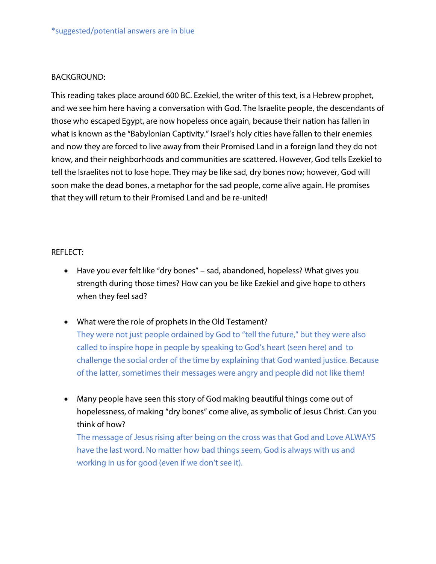#### BACKGROUND:

This reading takes place around 600 BC. Ezekiel, the writer of this text, is a Hebrew prophet, and we see him here having a conversation with God. The Israelite people, the descendants of those who escaped Egypt, are now hopeless once again, because their nation has fallen in what is known as the "Babylonian Captivity." Israel's holy cities have fallen to their enemies and now they are forced to live away from their Promised Land in a foreign land they do not know, and their neighborhoods and communities are scattered. However, God tells Ezekiel to tell the Israelites not to lose hope. They may be like sad, dry bones now; however, God will soon make the dead bones, a metaphor for the sad people, come alive again. He promises that they will return to their Promised Land and be re-united!

#### REFLECT:

- Have you ever felt like "dry bones" sad, abandoned, hopeless? What gives you strength during those times? How can you be like Ezekiel and give hope to others when they feel sad?
- What were the role of prophets in the Old Testament? They were not just people ordained by God to "tell the future," but they were also called to inspire hope in people by speaking to God's heart (seen here) and to challenge the social order of the time by explaining that God wanted justice. Because
- Many people have seen this story of God making beautiful things come out of hopelessness, of making "dry bones" come alive, as symbolic of Jesus Christ. Can you think of how?

of the latter, sometimes their messages were angry and people did not like them!

The message of Jesus rising after being on the cross was that God and Love ALWAYS have the last word. No matter how bad things seem, God is always with us and working in us for good (even if we don't see it).